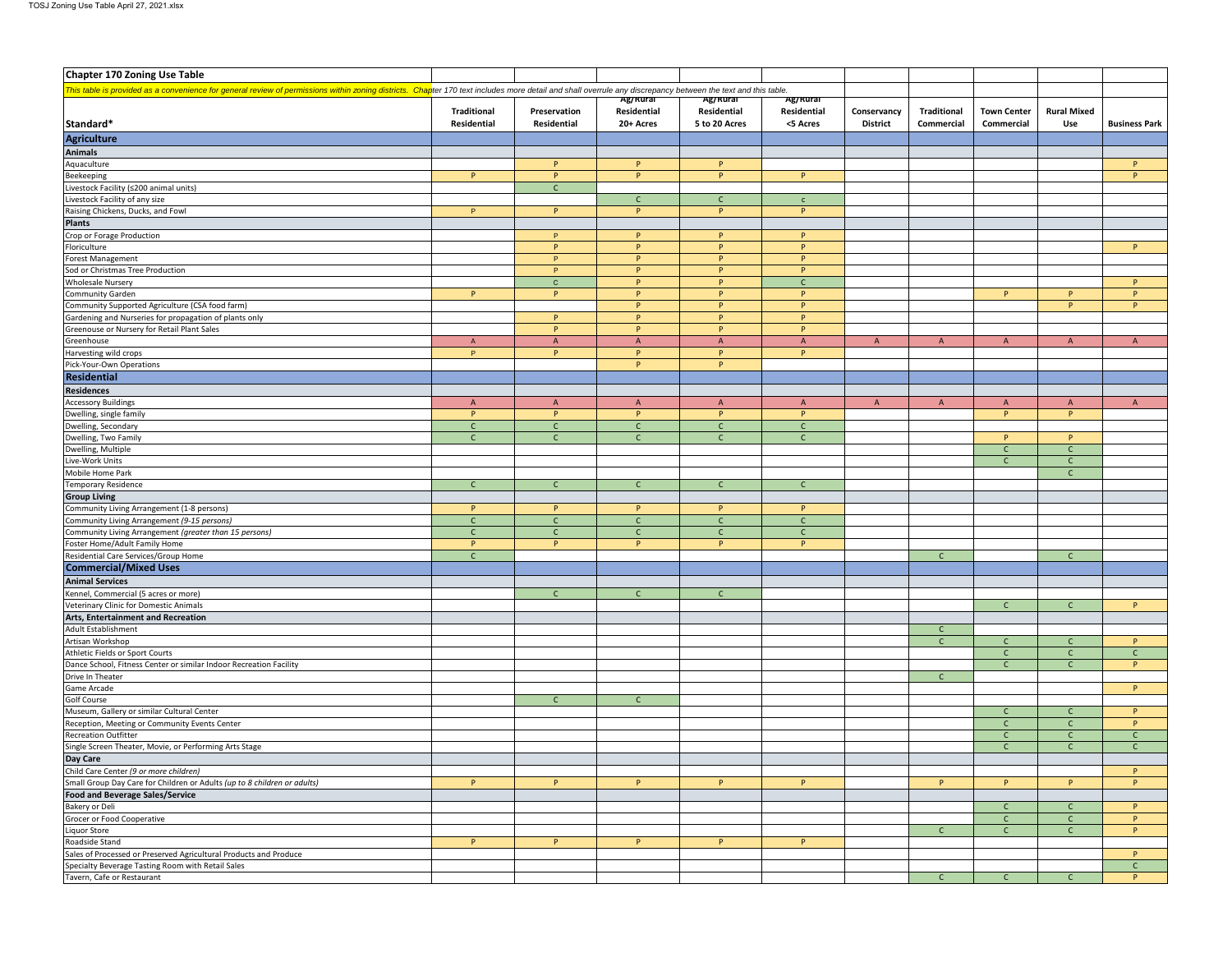| <b>Chapter 170 Zoning Use Table</b>                                                                                                                                                                          |                     |                   |                   |                   |              |                 |                              |                              |                    |                      |
|--------------------------------------------------------------------------------------------------------------------------------------------------------------------------------------------------------------|---------------------|-------------------|-------------------|-------------------|--------------|-----------------|------------------------------|------------------------------|--------------------|----------------------|
|                                                                                                                                                                                                              |                     |                   |                   |                   |              |                 |                              |                              |                    |                      |
| This table is provided as a convenience for general review of permissions within zoning districts. Chapter 170 text includes more detail and shall overrule any discrepancy between the text and this table. |                     |                   | Ag/Rural          | Ag/Rural          | Ag/Rurai     |                 |                              |                              |                    |                      |
|                                                                                                                                                                                                              | <b>Traditional</b>  | Preservation      | Residential       | Residential       | Residential  | Conservancy     | Traditional                  | <b>Town Center</b>           | <b>Rural Mixed</b> |                      |
| Standard*                                                                                                                                                                                                    | Residential         | Residential       | 20+ Acres         | 5 to 20 Acres     | <5 Acres     | <b>District</b> | Commercial                   | Commercial                   | Use                | <b>Business Park</b> |
| <b>Agriculture</b>                                                                                                                                                                                           |                     |                   |                   |                   |              |                 |                              |                              |                    |                      |
| <b>Animals</b>                                                                                                                                                                                               |                     |                   |                   |                   |              |                 |                              |                              |                    |                      |
| Aquaculture                                                                                                                                                                                                  |                     | P                 | P                 | P                 |              |                 |                              |                              |                    | P                    |
| Beekeeping                                                                                                                                                                                                   | P                   | P                 | P                 | P                 | P            |                 |                              |                              |                    | P                    |
| Livestock Facility (≤200 animal units)                                                                                                                                                                       |                     | $\mathsf{C}$      |                   |                   |              |                 |                              |                              |                    |                      |
| Livestock Facility of any size                                                                                                                                                                               |                     |                   | $\mathsf{C}$      | $\mathsf{C}$      | $\mathsf{c}$ |                 |                              |                              |                    |                      |
| Raising Chickens, Ducks, and Fowl                                                                                                                                                                            | P                   | P                 | P                 | $\mathsf{P}$      | P            |                 |                              |                              |                    |                      |
| <b>Plants</b><br>Crop or Forage Production                                                                                                                                                                   |                     | P.                | P                 | P                 | P.           |                 |                              |                              |                    |                      |
| Floriculture                                                                                                                                                                                                 |                     | P                 | P                 | P                 | P            |                 |                              |                              |                    | P                    |
| Forest Management                                                                                                                                                                                            |                     | P                 | P                 | P                 | P            |                 |                              |                              |                    |                      |
| Sod or Christmas Tree Production                                                                                                                                                                             |                     | $\mathsf P$       | P                 | P                 | P            |                 |                              |                              |                    |                      |
| <b>Wholesale Nursery</b>                                                                                                                                                                                     |                     | $\mathbf{C}$      | P                 | P                 | $\mathsf{C}$ |                 |                              |                              |                    | P.                   |
| Community Garden                                                                                                                                                                                             | P                   | P                 | P                 | P                 | P            |                 |                              | P                            | P                  | P                    |
| Community Supported Agriculture (CSA food farm)                                                                                                                                                              |                     |                   | P                 | P                 | P            |                 |                              |                              | P                  | P                    |
| Gardening and Nurseries for propagation of plants only                                                                                                                                                       |                     | $\mathsf P$       | P                 | P                 | P            |                 |                              |                              |                    |                      |
| Greenouse or Nursery for Retail Plant Sales                                                                                                                                                                  |                     | P                 | P                 | P                 | P            |                 |                              |                              |                    |                      |
| Greenhouse<br>Harvesting wild crops                                                                                                                                                                          | $\overline{A}$<br>P | $\mathsf{A}$<br>P | $\mathsf{A}$<br>P | $\mathsf{A}$<br>P | A<br>P       | $\mathsf{A}$    | $\mathsf{A}$                 | $\overline{A}$               | $\mathsf{A}$       | $\mathsf{A}$         |
| Pick-Your-Own Operations                                                                                                                                                                                     |                     |                   | P                 | $\mathsf{P}$      |              |                 |                              |                              |                    |                      |
| <b>Residential</b>                                                                                                                                                                                           |                     |                   |                   |                   |              |                 |                              |                              |                    |                      |
| <b>Residences</b>                                                                                                                                                                                            |                     |                   |                   |                   |              |                 |                              |                              |                    |                      |
| <b>Accessory Buildings</b>                                                                                                                                                                                   | $\mathsf{A}$        | $\mathsf{A}$      | A                 | $\mathsf{A}$      | $\mathsf{A}$ | $\mathsf{A}$    | $\mathsf{A}$                 | $\mathsf{A}$                 | $\mathsf{A}$       | $\mathsf{A}$         |
| Dwelling, single family                                                                                                                                                                                      | P                   | P                 | p                 | P                 | P            |                 |                              | P                            | P                  |                      |
| Dwelling, Secondary                                                                                                                                                                                          | $\mathsf{C}$        | $\mathsf{C}$      | $\mathsf{C}$      | $\mathsf{C}$      | $\mathsf{C}$ |                 |                              |                              |                    |                      |
| Dwelling, Two Family                                                                                                                                                                                         | $\mathsf{C}$        | $\mathsf{C}$      | $\mathsf{C}$      | $\mathsf{C}$      | $\mathsf{C}$ |                 |                              | P                            | P                  |                      |
| Dwelling, Multiple                                                                                                                                                                                           |                     |                   |                   |                   |              |                 |                              | $\mathsf{C}$                 | $\mathsf{C}$       |                      |
| Live-Work Units                                                                                                                                                                                              |                     |                   |                   |                   |              |                 |                              | $\mathsf{C}$                 | $\mathsf{C}$       |                      |
| Mobile Home Park                                                                                                                                                                                             |                     |                   |                   |                   |              |                 |                              |                              | $\mathsf{C}$       |                      |
| <b>Temporary Residence</b><br><b>Group Living</b>                                                                                                                                                            | $\mathsf{C}$        | $\mathsf{C}$      | $\mathsf{C}$      | $\mathsf{C}$      | $\mathsf{C}$ |                 |                              |                              |                    |                      |
| Community Living Arrangement (1-8 persons)                                                                                                                                                                   | P                   | P                 | P                 | P                 | P            |                 |                              |                              |                    |                      |
| Community Living Arrangement (9-15 persons)                                                                                                                                                                  | $\mathsf{C}$        | $\mathsf{C}$      | $\mathsf{C}$      | $\mathsf{C}$      | $\mathsf{C}$ |                 |                              |                              |                    |                      |
| Community Living Arrangement (greater than 15 persons)                                                                                                                                                       | $\mathsf{C}$        | $\mathsf{C}$      | $\mathsf{C}$      | $\mathsf{C}$      | $\mathsf{C}$ |                 |                              |                              |                    |                      |
| Foster Home/Adult Family Home                                                                                                                                                                                | P                   | P                 | P                 | P                 | P            |                 |                              |                              |                    |                      |
| Residential Care Services/Group Home                                                                                                                                                                         | $\mathsf{C}$        |                   |                   |                   |              |                 | C                            |                              | $\mathsf{C}$       |                      |
| <b>Commercial/Mixed Uses</b>                                                                                                                                                                                 |                     |                   |                   |                   |              |                 |                              |                              |                    |                      |
| <b>Animal Services</b>                                                                                                                                                                                       |                     |                   |                   |                   |              |                 |                              |                              |                    |                      |
| Kennel, Commercial (5 acres or more)                                                                                                                                                                         |                     | $\mathsf{C}$      | $\mathsf{C}$      | $\mathsf{C}$      |              |                 |                              |                              |                    |                      |
| Veterinary Clinic for Domestic Animals                                                                                                                                                                       |                     |                   |                   |                   |              |                 |                              | $\mathsf{C}$                 | $\mathsf{C}$       | P                    |
| Arts, Entertainment and Recreation                                                                                                                                                                           |                     |                   |                   |                   |              |                 |                              |                              |                    |                      |
| Adult Establishment                                                                                                                                                                                          |                     |                   |                   |                   |              |                 | $\mathsf{C}$<br>$\mathsf{C}$ |                              | $\mathsf{C}$       | P.                   |
| Artisan Workshop<br>Athletic Fields or Sport Courts                                                                                                                                                          |                     |                   |                   |                   |              |                 |                              | $\mathsf{C}$<br>$\mathsf{C}$ | $\mathsf{C}$       | $\mathsf{C}$         |
| Dance School, Fitness Center or similar Indoor Recreation Facility                                                                                                                                           |                     |                   |                   |                   |              |                 |                              | $\mathsf{C}$                 | $\mathsf{C}$       | P                    |
| Drive In Theater                                                                                                                                                                                             |                     |                   |                   |                   |              |                 | $\mathsf{C}$                 |                              |                    |                      |
| Game Arcade                                                                                                                                                                                                  |                     |                   |                   |                   |              |                 |                              |                              |                    | P                    |
| Golf Course                                                                                                                                                                                                  |                     | $\mathsf{C}$      | $\mathsf{C}$      |                   |              |                 |                              |                              |                    |                      |
| Museum, Gallery or similar Cultural Center                                                                                                                                                                   |                     |                   |                   |                   |              |                 |                              | $\mathsf{C}$                 | $\mathsf{C}$       | P.                   |
| Reception, Meeting or Community Events Center                                                                                                                                                                |                     |                   |                   |                   |              |                 |                              | $\mathsf{C}$                 | C                  | P                    |
| <b>Recreation Outfitter</b>                                                                                                                                                                                  |                     |                   |                   |                   |              |                 |                              | $\mathsf{C}$                 | $\mathsf{C}$       | $\mathsf{C}$         |
| Single Screen Theater, Movie, or Performing Arts Stage                                                                                                                                                       |                     |                   |                   |                   |              |                 |                              | $\mathsf{C}$                 | $\mathsf{C}$       | $\mathsf{C}$         |
| Day Care<br>Child Care Center (9 or more children)                                                                                                                                                           |                     |                   |                   |                   |              |                 |                              |                              |                    |                      |
| Small Group Day Care for Children or Adults (up to 8 children or adults)                                                                                                                                     | P                   | P.                | P                 | P                 | P            |                 | P.                           | P                            | P                  | P<br>P               |
| <b>Food and Beverage Sales/Service</b>                                                                                                                                                                       |                     |                   |                   |                   |              |                 |                              |                              |                    |                      |
| Bakery or Deli                                                                                                                                                                                               |                     |                   |                   |                   |              |                 |                              | $\mathsf{C}$                 | $\mathsf{C}$       | P.                   |
| Grocer or Food Cooperative                                                                                                                                                                                   |                     |                   |                   |                   |              |                 |                              | $\mathsf{C}$                 | $\mathsf{C}$       | P                    |
| Liquor Store                                                                                                                                                                                                 |                     |                   |                   |                   |              |                 | $\mathsf{C}$                 | $\mathsf{C}$                 | $\mathsf{C}$       | P.                   |
| Roadside Stand                                                                                                                                                                                               | P                   | P                 | P                 | P                 | P            |                 |                              |                              |                    |                      |
| Sales of Processed or Preserved Agricultural Products and Produce                                                                                                                                            |                     |                   |                   |                   |              |                 |                              |                              |                    | P                    |
| Specialty Beverage Tasting Room with Retail Sales                                                                                                                                                            |                     |                   |                   |                   |              |                 |                              |                              |                    | $\mathsf{C}$         |
| Tavern, Cafe or Restaurant                                                                                                                                                                                   |                     |                   |                   |                   |              |                 | $\mathsf{C}$                 | $\mathsf{C}$                 | $\mathsf{C}$       | P                    |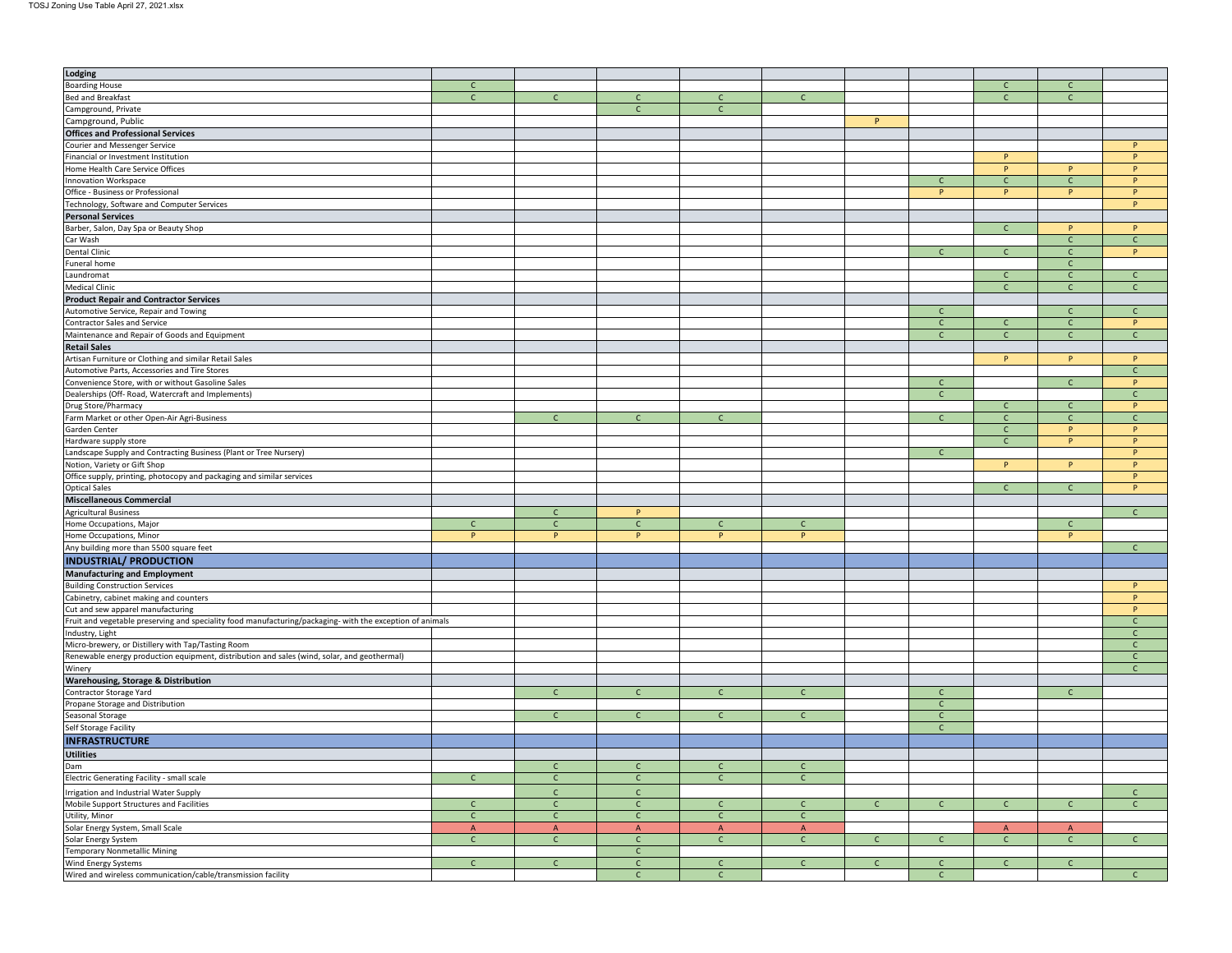| Lodging                                                                                                   |              |              |              |              |              |              |              |                |              |              |
|-----------------------------------------------------------------------------------------------------------|--------------|--------------|--------------|--------------|--------------|--------------|--------------|----------------|--------------|--------------|
| <b>Boarding House</b>                                                                                     | $\mathsf{C}$ |              |              |              |              |              |              | $\mathsf{C}$   | $\mathsf{C}$ |              |
| <b>Bed and Breakfast</b>                                                                                  | $\mathsf{C}$ | $\mathsf{C}$ | $\mathsf{C}$ | $\mathsf{C}$ | $\mathsf{C}$ |              |              | $\mathsf{C}$   | C            |              |
| Campground, Private                                                                                       |              |              | $\mathsf{C}$ | $\mathsf{C}$ |              |              |              |                |              |              |
| Campground, Public                                                                                        |              |              |              |              |              | P            |              |                |              |              |
| <b>Offices and Professional Services</b>                                                                  |              |              |              |              |              |              |              |                |              |              |
| Courier and Messenger Service                                                                             |              |              |              |              |              |              |              |                |              | P            |
|                                                                                                           |              |              |              |              |              |              |              |                |              | P            |
| Financial or Investment Institution                                                                       |              |              |              |              |              |              |              | $\mathsf{P}$   |              |              |
| Home Health Care Service Offices                                                                          |              |              |              |              |              |              |              | P              | P            | P.           |
| <b>Innovation Workspace</b>                                                                               |              |              |              |              |              |              | $\mathsf{C}$ | $\mathsf{C}$   | $\mathsf{C}$ | P            |
| Office - Business or Professional                                                                         |              |              |              |              |              |              | P.           | P.             | P.           | P.           |
| Technology, Software and Computer Services                                                                |              |              |              |              |              |              |              |                |              | P            |
| <b>Personal Services</b>                                                                                  |              |              |              |              |              |              |              |                |              |              |
| Barber, Salon, Day Spa or Beauty Shop                                                                     |              |              |              |              |              |              |              | $\mathsf{C}$   | P            | P            |
| Car Wash                                                                                                  |              |              |              |              |              |              |              |                | $\mathsf{C}$ | $\mathsf{C}$ |
| <b>Dental Clinic</b>                                                                                      |              |              |              |              |              |              | $\mathsf{C}$ | $\mathsf{C}$   | $\mathsf{C}$ | P            |
| Funeral home                                                                                              |              |              |              |              |              |              |              |                | $\mathsf{C}$ |              |
| Laundromat                                                                                                |              |              |              |              |              |              |              | $\mathsf{C}$   | $\mathsf{C}$ | $\mathsf{C}$ |
| <b>Medical Clinic</b>                                                                                     |              |              |              |              |              |              |              | $\mathsf{C}$   | $\mathsf{C}$ | $\mathsf{C}$ |
|                                                                                                           |              |              |              |              |              |              |              |                |              |              |
| <b>Product Repair and Contractor Services</b>                                                             |              |              |              |              |              |              |              |                |              |              |
| Automotive Service, Repair and Towing                                                                     |              |              |              |              |              |              | $\mathsf{C}$ |                | $\mathsf{C}$ | $\mathsf{C}$ |
| Contractor Sales and Service                                                                              |              |              |              |              |              |              | $\mathsf{C}$ | $\mathsf{C}$   | $\mathsf{C}$ | P            |
| Maintenance and Repair of Goods and Equipment                                                             |              |              |              |              |              |              | $\mathsf{C}$ | $\mathsf{C}$   | $\mathsf{C}$ | $\mathsf{C}$ |
| <b>Retail Sales</b>                                                                                       |              |              |              |              |              |              |              |                |              |              |
| Artisan Furniture or Clothing and similar Retail Sales                                                    |              |              |              |              |              |              |              | P              | P            | P            |
| Automotive Parts, Accessories and Tire Stores                                                             |              |              |              |              |              |              |              |                |              | $\mathsf{C}$ |
| Convenience Store, with or without Gasoline Sales                                                         |              |              |              |              |              |              | $\mathsf{C}$ |                | $\mathsf{C}$ | P            |
| Dealerships (Off- Road, Watercraft and Implements)                                                        |              |              |              |              |              |              | $\mathsf{C}$ |                |              | $\mathsf{C}$ |
| Drug Store/Pharmacy                                                                                       |              |              |              |              |              |              |              | $\mathsf{C}$   | $\mathsf{C}$ | P            |
| Farm Market or other Open-Air Agri-Business                                                               |              | $\mathsf{C}$ | $\mathsf{C}$ | $\mathsf{C}$ |              |              | $\mathsf{C}$ | $\mathsf{C}$   | $\mathsf{C}$ | $\mathsf{C}$ |
| Garden Center                                                                                             |              |              |              |              |              |              |              | $\mathsf{C}$   | P            | P            |
| Hardware supply store                                                                                     |              |              |              |              |              |              |              | $\mathsf{C}$   | P.           | P            |
|                                                                                                           |              |              |              |              |              |              |              |                |              | P            |
| Landscape Supply and Contracting Business (Plant or Tree Nursery)                                         |              |              |              |              |              |              | $\mathsf{C}$ |                |              |              |
| Notion, Variety or Gift Shop                                                                              |              |              |              |              |              |              |              | P              | P            | P            |
| Office supply, printing, photocopy and packaging and similar services                                     |              |              |              |              |              |              |              |                |              | P            |
| <b>Optical Sales</b>                                                                                      |              |              |              |              |              |              |              | $\mathsf{C}$   | $\mathsf{C}$ | P            |
| <b>Miscellaneous Commercial</b>                                                                           |              |              |              |              |              |              |              |                |              |              |
| <b>Agricultural Business</b>                                                                              |              | $\mathsf{C}$ | P            |              |              |              |              |                |              | $\mathsf{C}$ |
| Home Occupations, Major                                                                                   | $\mathsf{C}$ | $\mathsf{C}$ | $\mathsf{C}$ | $\mathsf{C}$ | $\mathsf{C}$ |              |              |                | $\mathsf{C}$ |              |
| Home Occupations, Minor                                                                                   | P            | P            | P            | P            | P            |              |              |                | P            |              |
| Any building more than 5500 square feet                                                                   |              |              |              |              |              |              |              |                |              | $\mathsf{C}$ |
| <b>INDUSTRIAL/ PRODUCTION</b>                                                                             |              |              |              |              |              |              |              |                |              |              |
|                                                                                                           |              |              |              |              |              |              |              |                |              |              |
| <b>Manufacturing and Employment</b>                                                                       |              |              |              |              |              |              |              |                |              |              |
| <b>Building Construction Services</b>                                                                     |              |              |              |              |              |              |              |                |              | P            |
| Cabinetry, cabinet making and counters                                                                    |              |              |              |              |              |              |              |                |              | P            |
| Cut and sew apparel manufacturing                                                                         |              |              |              |              |              |              |              |                |              | P            |
| Fruit and vegetable preserving and speciality food manufacturing/packaging- with the exception of animals |              |              |              |              |              |              |              |                |              | $\mathsf{C}$ |
| Industry, Light                                                                                           |              |              |              |              |              |              |              |                |              | $\mathsf{C}$ |
| Micro-brewery, or Distillery with Tap/Tasting Room                                                        |              |              |              |              |              |              |              |                |              | $\mathsf{C}$ |
| Renewable energy production equipment, distribution and sales (wind, solar, and geothermal)               |              |              |              |              |              |              |              |                |              | C            |
| Winery                                                                                                    |              |              |              |              |              |              |              |                |              | C            |
| Warehousing, Storage & Distribution                                                                       |              |              |              |              |              |              |              |                |              |              |
| Contractor Storage Yard                                                                                   |              | $\mathsf{C}$ | $\mathsf{C}$ | $\mathsf{C}$ | $\mathsf{C}$ |              | $\mathsf{C}$ |                | $\mathsf{C}$ |              |
|                                                                                                           |              |              |              |              |              |              |              |                |              |              |
| Propane Storage and Distribution                                                                          |              | $\mathsf{C}$ |              |              |              |              | $\mathsf{C}$ |                |              |              |
| Seasonal Storage                                                                                          |              |              |              |              | $\mathsf{C}$ |              | $\mathsf{C}$ |                |              |              |
| Self Storage Facility                                                                                     |              |              |              |              |              |              | $\mathsf{C}$ |                |              |              |
| <b>INFRASTRUCTURE</b>                                                                                     |              |              |              |              |              |              |              |                |              |              |
| <b>Utilities</b>                                                                                          |              |              |              |              |              |              |              |                |              |              |
| Dam                                                                                                       |              | $\mathsf{C}$ | $\mathsf{C}$ | $\mathsf{C}$ | $\mathsf{C}$ |              |              |                |              |              |
| Electric Generating Facility - small scale                                                                | $\mathsf{C}$ | $\mathsf{C}$ | $\mathsf{C}$ | $\mathsf{C}$ | $\mathsf{C}$ |              |              |                |              |              |
| Irrigation and Industrial Water Supply                                                                    |              | $\mathsf{C}$ | $\mathsf{C}$ |              |              |              |              |                |              | $\mathsf{C}$ |
|                                                                                                           | $\mathsf{C}$ |              | $\mathsf{C}$ | $\mathsf{C}$ |              | $\mathsf{C}$ |              | $\mathsf{C}$   | $\mathsf{C}$ |              |
| Mobile Support Structures and Facilities                                                                  |              | $\mathsf{C}$ |              |              | $\mathsf{C}$ |              | $\mathsf{C}$ |                |              | $\mathsf{C}$ |
| Utility, Minor                                                                                            | $\mathsf{C}$ | $\mathsf{C}$ | $\mathsf{C}$ | $\mathsf{C}$ | $\mathsf{C}$ |              |              |                |              |              |
| Solar Energy System, Small Scale                                                                          | $\mathsf A$  | $\mathsf{A}$ | $\mathsf A$  | $\mathsf{A}$ | $\mathsf A$  |              |              | $\overline{A}$ | A            |              |
| Solar Energy System                                                                                       | $\mathsf{C}$ | $\mathsf{C}$ | $\mathsf{C}$ | $\mathsf{C}$ | $\mathsf{C}$ | $\mathsf{C}$ | $\mathsf{C}$ | $\mathsf{C}$   | $\mathsf{C}$ | $\mathsf{C}$ |
| <b>Temporary Nonmetallic Mining</b>                                                                       |              |              | $\mathsf{C}$ |              |              |              |              |                |              |              |
| Wind Energy Systems                                                                                       | $\mathsf{C}$ | $\mathsf{C}$ | $\mathsf{C}$ | $\mathsf{C}$ | $\mathsf{C}$ | $\mathsf{C}$ | $\mathsf{C}$ | $\mathsf{C}$   | $\mathsf{C}$ |              |
| Wired and wireless communication/cable/transmission facility                                              |              |              | $\mathsf{C}$ | $\mathsf{C}$ |              |              | $\mathsf{C}$ |                |              | $\mathsf{C}$ |